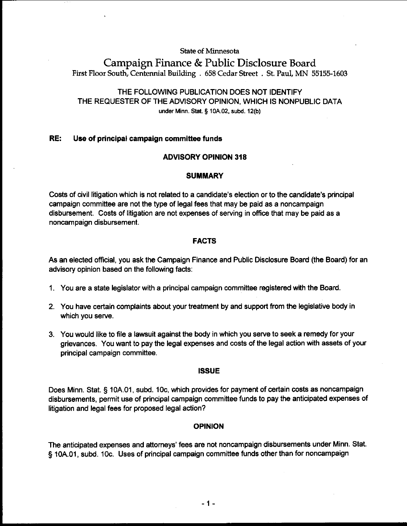#### **State of Minnesota**

# Campaign Finance & Public Disclosure **Board First Floor South, Centennial Building** . **658 Cedar Street** . **St. Paul, MN 55155-1603**

# THE FOLLOWING PUBLICATION DOES NOT IDENTIFY THE REQUESTER OF THE ADVISORY OPINION, WHICH IS NONPUBLIC DATA under Minn. Stat. **5 10A.02, subd. 12(b)**

### RE: Use of principal campaign committee funds

#### ADVISORY OPINION 318

#### **SUMMARY**

Costs of civil litigation which is not related to a candidate's election or to the candidate's principal campaign committee are not the type of legal fees that may be paid as a noncampaign disbursement. Costs of litigation are not expenses of serving in office that may be paid as a noncampaign disbursement.

#### FACTS

As an elected official, you ask the Campaign Finance and Public Disclosure Board (the Board) for an advisory opinion based on the following facts:

- 1. You are a state legislator with a principal campaign committee registered with the Board.
- 2. You have certain complaints about your treatment by and support from the legislative body in which you serve.
- 3. You would like to file a lawsuit against the body in which you serve to seek a remedy for your grievances. You want to pay the legal expenses and costs of the legal action with assets of your principal campaign committee.

#### ISSUE

Does Minn. Stat. § 10A.O1, subd. IOc, which provides for payment of certain costs as noncampaign disbursements, permit use of principal campaign committee funds to pay the anticipated expenses of litigation and legal fees for proposed legal action?

#### OPINION

The anticipated expenses and attorneys' fees are not noncampaign disbursements under Minn. Stat. § 10A.O1, subd. 10c. Uses of principal campaign committee funds other than for noncampaign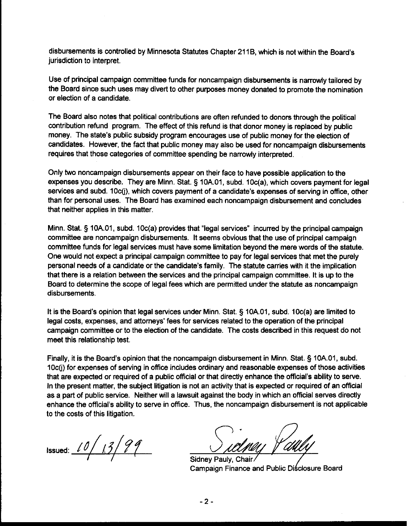disbursements is controlled by Minnesota Statutes Chapter 21 IB, which is not within the Board's jurisdiction to interpret.

Use of principal campaign committee funds for noncampaign disbursements is narrowly tailored by the Board since such uses may divert to other purposes money donated to promote the nomination or election of a candidate.

The Board also notes that political contributions are often refunded to donors through the political contribution refund program. The effect of this refund is that donor money is replaced by public money. The state's public subsidy program encourages use of public money for the election of candidates. However, the fact that public money may also be used for noncampaign disbursements requires that those categories of committee spending be narrowly interpreted.

Only two noncampaign disbursements appear on their face to have possible application to the expenses you describe. They are Minn. Stat. § 10A.O1, subd. 10c(a), which covers payment for legal services and subd. 10c(j), which covers payment of a candidate's expenses of serving in office, other than for personal uses. The Board has examined each noncampaign disbursement and concludes that neither applies in this matter.

Minn. Stat. § 10A.O1, subd. 10c(a) provides that "legal services" incurred by the principal campaign committee are noncampaign disbursements. It seems obvious that the use of principal campaign committee funds for legal services must have some limitation beyond the mere-words of the statute. One would not expect a principal campaign committee to pay for legal services that met the purely personal needs of a candidate or the candidate's family. The statute carries with it the implication that there is a relation between the services and the principal campaign committee. It is up to the Board to determine the scope of legal fees which are permitted under the statute as noncampaign disbursements.

It is the Board's opinion that legal services under Minn. Stat. § 10A.01, subd. 10c(a) are limited to legal costs, expenses, and attorneys' fees for services related to the operation of the principal campaign committee or to the election of the candidate. The costs described in this request do not meet this relationship test.

Finally, it is the Board's opinion that the noncampaign disbursement in Minn. Stat. § 10A.O1, subd. 10c(j) for expenses of serving in office includes ordinary and reasonable expenses of those activities that are expected or required of a public official or that directly enhance the official's ability to serve. In the present matter, the subject litigation is not an activity that is expected or required of an official as a part of public service. Neither will a lawsuit against the body in which an official serves directly enhance the official's ability to serve in office. Thus, the noncampaign disbursement is not applicable to the costs of this litigation.

Issued: <u>10/13/99</u>

Sidney Pauly, Chair Campaign Finance and Public Diśclosure Board